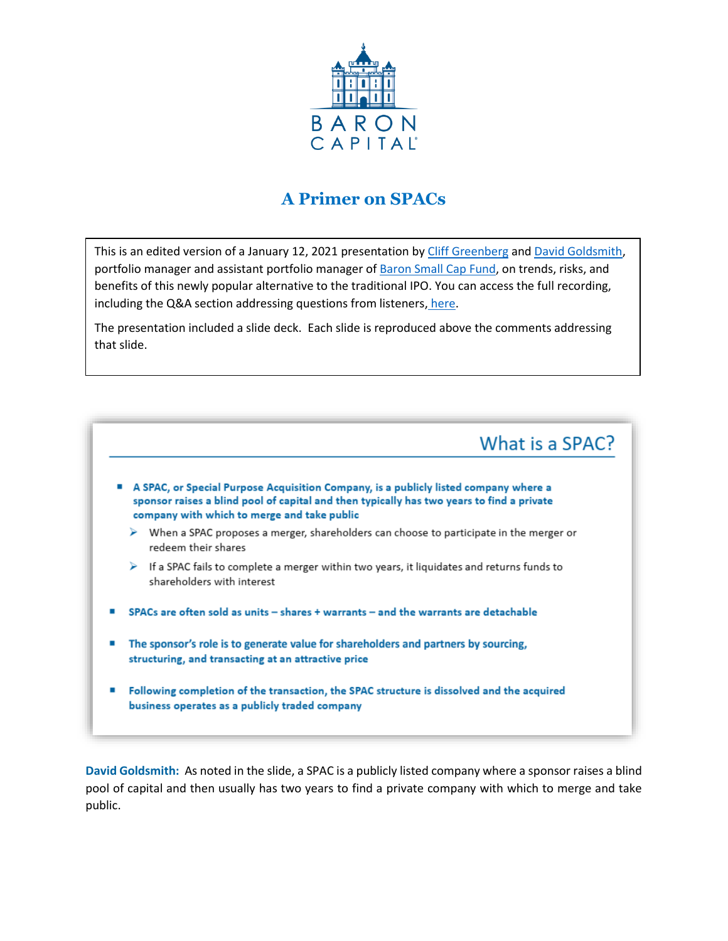

### **A Primer on SPACs**

This is an edited version of a January 12, 2021 presentation by [Cliff Greenberg](https://www.baronfunds.com/commentary/cliff-greenberg) and [David Goldsmith,](https://www.baronfunds.com/team#section-portfolio-managers) portfolio manager and assistant portfolio manager of [Baron Small Cap Fund,](https://www.baronfunds.com/product-detail/baron-small-cap-fund-bsfix) on trends, risks, and benefits of this newly popular alternative to the traditional IPO. You can access the full recording, including the Q&A section addressing questions from listeners, [here.](https://www.baronfunds.com/sites/default/files/SPAC.1.12.21.mp3)

The presentation included a slide deck. Each slide is reproduced above the comments addressing that slide.



**David Goldsmith:** As noted in the slide, a SPAC is a publicly listed company where a sponsor raises a blind pool of capital and then usually has two years to find a private company with which to merge and take public.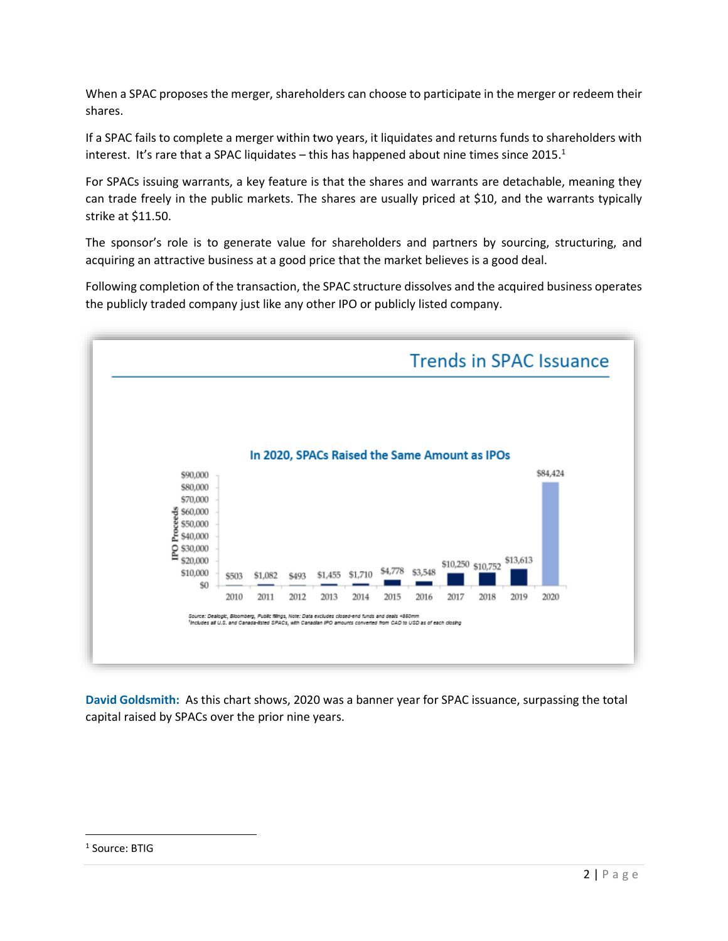When a SPAC proposes the merger, shareholders can choose to participate in the merger or redeem their shares.

If a SPAC fails to complete a merger within two years, it liquidates and returns funds to shareholders with interest. It's rare that a SPAC liquidates – this has happened about nine times since  $2015.<sup>1</sup>$ 

For SPACs issuing warrants, a key feature is that the shares and warrants are detachable, meaning they can trade freely in the public markets. The shares are usually priced at \$10, and the warrants typically strike at \$11.50.

The sponsor's role is to generate value for shareholders and partners by sourcing, structuring, and acquiring an attractive business at a good price that the market believes is a good deal.

Following completion of the transaction, the SPAC structure dissolves and the acquired business operates the publicly traded company just like any other IPO or publicly listed company.



**David Goldsmith:** As this chart shows, 2020 was a banner year for SPAC issuance, surpassing the total capital raised by SPACs over the prior nine years.

<sup>&</sup>lt;sup>1</sup> Source: BTIG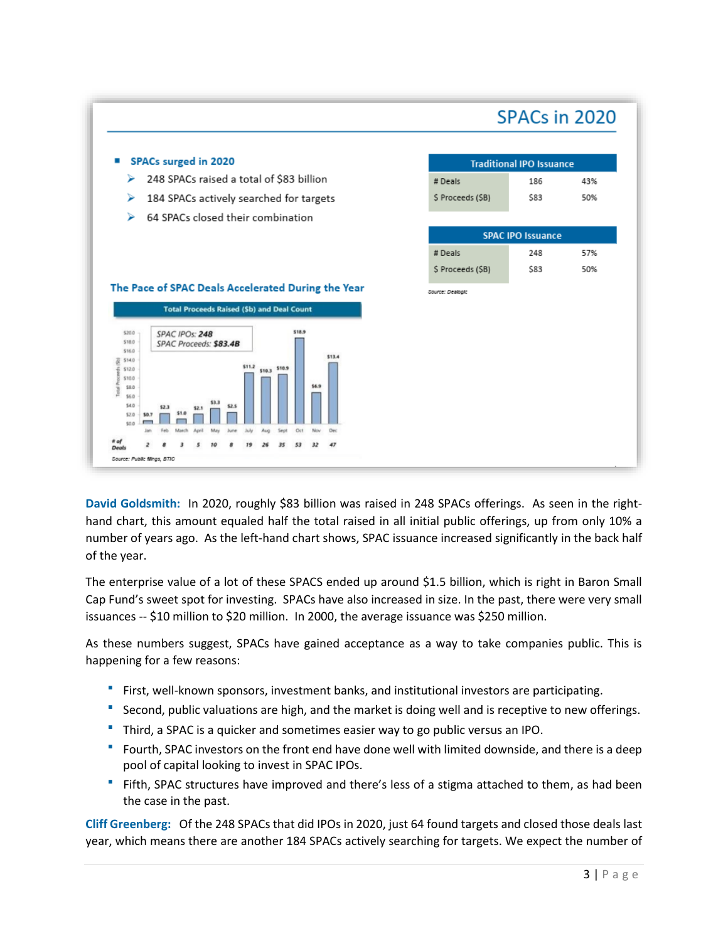## SPACs in 2020



**David Goldsmith:** In 2020, roughly \$83 billion was raised in 248 SPACs offerings. As seen in the righthand chart, this amount equaled half the total raised in all initial public offerings, up from only 10% a number of years ago. As the left-hand chart shows, SPAC issuance increased significantly in the back half of the year.

The enterprise value of a lot of these SPACS ended up around \$1.5 billion, which is right in Baron Small Cap Fund's sweet spot for investing. SPACs have also increased in size. In the past, there were very small issuances -- \$10 million to \$20 million. In 2000, the average issuance was \$250 million.

As these numbers suggest, SPACs have gained acceptance as a way to take companies public. This is happening for a few reasons:

- First, well-known sponsors, investment banks, and institutional investors are participating.
- Second, public valuations are high, and the market is doing well and is receptive to new offerings.
- Third, a SPAC is a quicker and sometimes easier way to go public versus an IPO.
- Fourth, SPAC investors on the front end have done well with limited downside, and there is a deep pool of capital looking to invest in SPAC IPOs.
- Fifth, SPAC structures have improved and there's less of a stigma attached to them, as had been the case in the past.

**Cliff Greenberg:** Of the 248 SPACs that did IPOs in 2020, just 64 found targets and closed those deals last year, which means there are another 184 SPACs actively searching for targets. We expect the number of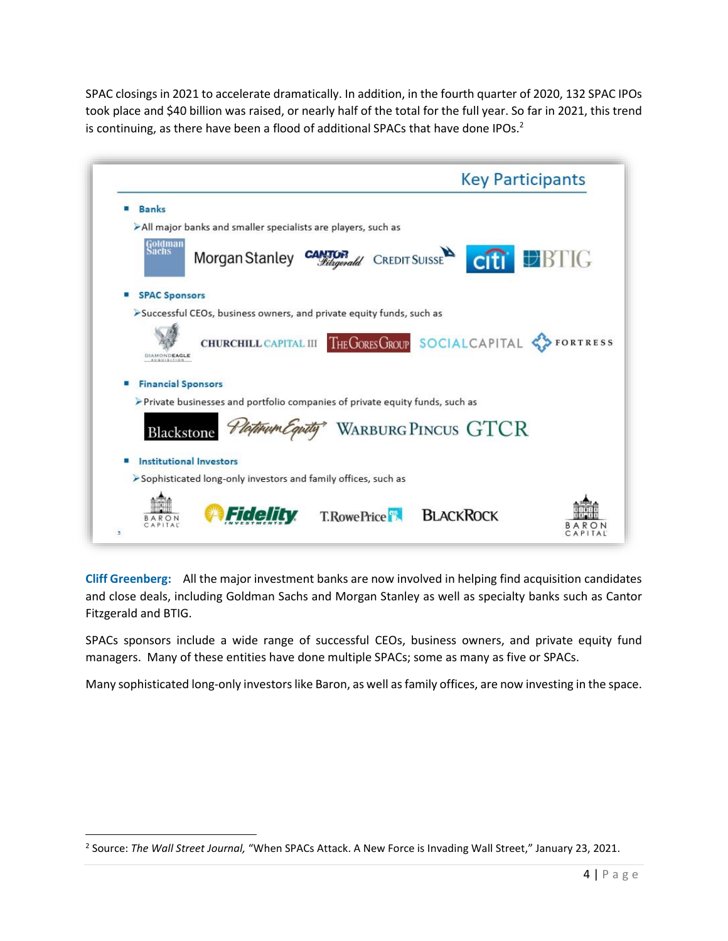SPAC closings in 2021 to accelerate dramatically. In addition, in the fourth quarter of 2020, 132 SPAC IPOs took place and \$40 billion was raised, or nearly half of the total for the full year. So far in 2021, this trend is continuing, as there have been a flood of additional SPACs that have done IPOs.<sup>2</sup>

| <b>Key Participants</b>                                                        |                 |
|--------------------------------------------------------------------------------|-----------------|
| <b>Banks</b>                                                                   |                 |
| All major banks and smaller specialists are players, such as                   |                 |
| Goldman<br>Sachs<br>Morgan Stanley CANTOR CREDIT SUISSE<br>citi <b>DBTIG</b>   |                 |
| <b>SPAC Sponsors</b><br>۰                                                      |                 |
| >Successful CEOs, business owners, and private equity funds, such as           |                 |
| THE GORES GROUP SOCIAL CAPITAL<br><b>CHURCHILL CAPITAL III</b><br>DIAMONDEAGLE | <b>FORTRESS</b> |
| <b>Financial Sponsors</b><br>o                                                 |                 |
| > Private businesses and portfolio companies of private equity funds, such as  |                 |
| <b>WARBURG PINCUS GTCR</b><br>Blackstone                                       |                 |
| <b>Institutional Investors</b>                                                 |                 |
| Sophisticated long-only investors and family offices, such as                  |                 |
| <b>BLACKROCK</b><br><b>T.RowePrice</b><br>3                                    |                 |

**Cliff Greenberg:** All the major investment banks are now involved in helping find acquisition candidates and close deals, including Goldman Sachs and Morgan Stanley as well as specialty banks such as Cantor Fitzgerald and BTIG.

SPACs sponsors include a wide range of successful CEOs, business owners, and private equity fund managers. Many of these entities have done multiple SPACs; some as many as five or SPACs.

Many sophisticated long-only investors like Baron, as well as family offices, are now investing in the space.

<sup>2</sup> Source: *The Wall Street Journal,* "When SPACs Attack. A New Force is Invading Wall Street," January 23, 2021.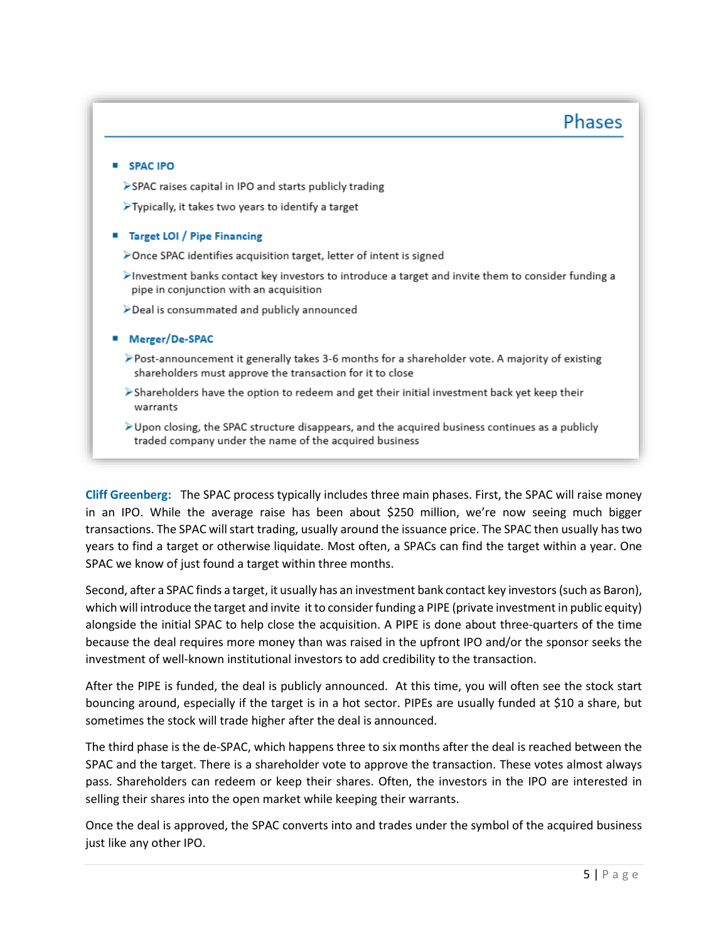### **Phases**

#### **SPACIPO**

- >SPAC raises capital in IPO and starts publicly trading
- $\blacktriangleright$  Typically, it takes two years to identify a target

#### ■ Target LOI / Pipe Financing

- >Once SPAC identifies acquisition target, letter of intent is signed
- $\blacktriangleright$  Investment banks contact key investors to introduce a target and invite them to consider funding a pipe in conjunction with an acquisition
- >Deal is consummated and publicly announced

#### ■ Merger/De-SPAC

- >Post-announcement it generally takes 3-6 months for a shareholder vote. A majority of existing shareholders must approve the transaction for it to close
- $\triangleright$  Shareholders have the option to redeem and get their initial investment back yet keep their warrants
- $\triangleright$  Upon closing, the SPAC structure disappears, and the acquired business continues as a publicly traded company under the name of the acquired business

**Cliff Greenberg:** The SPAC process typically includes three main phases. First, the SPAC will raise money in an IPO. While the average raise has been about \$250 million, we're now seeing much bigger transactions. The SPAC will start trading, usually around the issuance price. The SPAC then usually hastwo years to find a target or otherwise liquidate. Most often, a SPACs can find the target within a year. One SPAC we know of just found a target within three months.

Second, after a SPAC finds a target, it usually has an investment bank contact key investors(such as Baron), which will introduce the target and invite it to consider funding a PIPE (private investment in public equity) alongside the initial SPAC to help close the acquisition. A PIPE is done about three-quarters of the time because the deal requires more money than was raised in the upfront IPO and/or the sponsor seeks the investment of well-known institutional investors to add credibility to the transaction.

After the PIPE is funded, the deal is publicly announced. At this time, you will often see the stock start bouncing around, especially if the target is in a hot sector. PIPEs are usually funded at \$10 a share, but sometimes the stock will trade higher after the deal is announced.

The third phase is the de-SPAC, which happens three to six months after the deal is reached between the SPAC and the target. There is a shareholder vote to approve the transaction. These votes almost always pass. Shareholders can redeem or keep their shares. Often, the investors in the IPO are interested in selling their shares into the open market while keeping their warrants.

Once the deal is approved, the SPAC converts into and trades under the symbol of the acquired business just like any other IPO.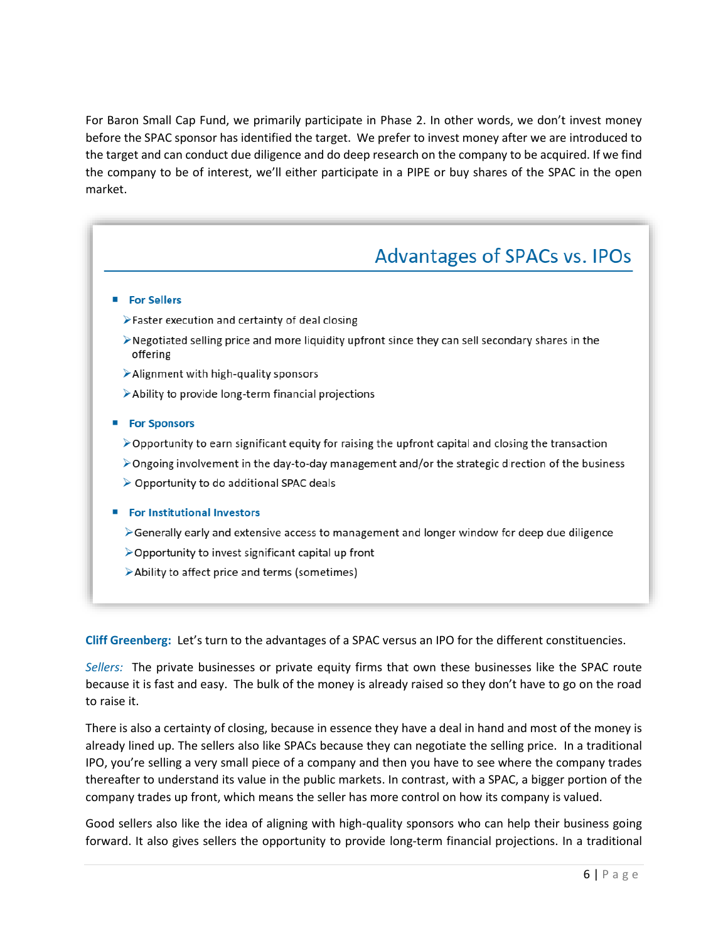For Baron Small Cap Fund, we primarily participate in Phase 2. In other words, we don't invest money before the SPAC sponsor has identified the target. We prefer to invest money after we are introduced to the target and can conduct due diligence and do deep research on the company to be acquired. If we find the company to be of interest, we'll either participate in a PIPE or buy shares of the SPAC in the open market.

# Advantages of SPACs vs. IPOs

#### For Sellers

- >Faster execution and certainty of deal closing
- >Negotiated selling price and more liquidity upfront since they can sell secondary shares in the offering
- Alignment with high-quality sponsors
- Ability to provide long-term financial projections

#### ■ For Sponsors

- $\triangleright$  Opportunity to earn significant equity for raising the upfront capital and closing the transaction
- $\triangleright$  Ongoing involvement in the day-to-day management and/or the strategic direction of the business
- ▶ Opportunity to do additional SPAC deals

#### ■ For Institutional Investors

- $\triangleright$  Generally early and extensive access to management and longer window for deep due diligence
- $\triangleright$  Opportunity to invest significant capital up front
- Ability to affect price and terms (sometimes)

**Cliff Greenberg:** Let's turn to the advantages of a SPAC versus an IPO for the different constituencies.

*Sellers:* The private businesses or private equity firms that own these businesses like the SPAC route because it is fast and easy. The bulk of the money is already raised so they don't have to go on the road to raise it.

There is also a certainty of closing, because in essence they have a deal in hand and most of the money is already lined up. The sellers also like SPACs because they can negotiate the selling price. In a traditional IPO, you're selling a very small piece of a company and then you have to see where the company trades thereafter to understand its value in the public markets. In contrast, with a SPAC, a bigger portion of the company trades up front, which means the seller has more control on how its company is valued.

Good sellers also like the idea of aligning with high-quality sponsors who can help their business going forward. It also gives sellers the opportunity to provide long-term financial projections. In a traditional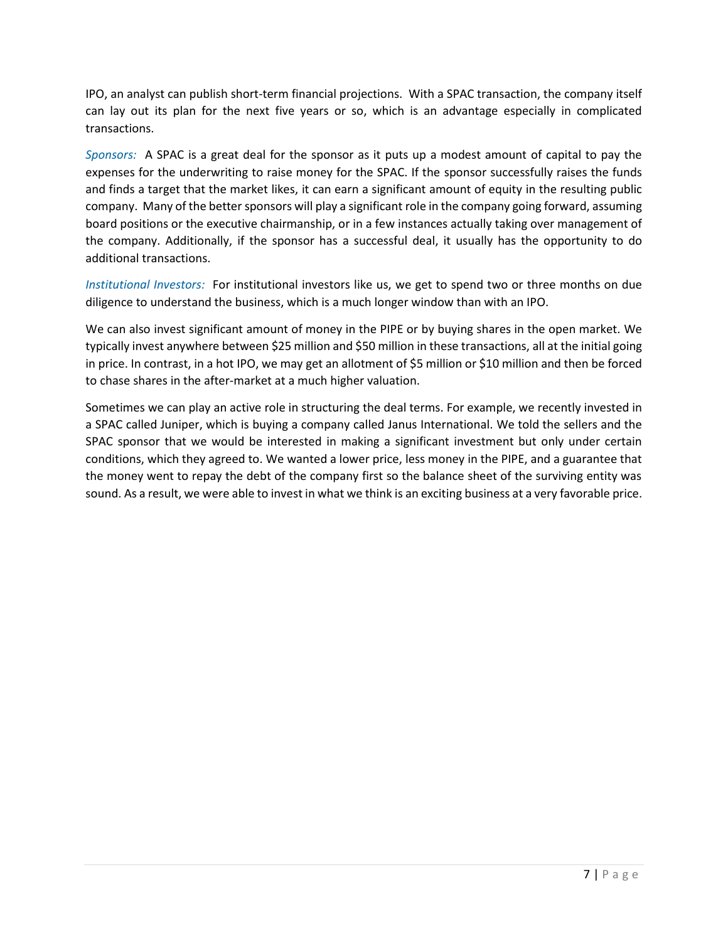IPO, an analyst can publish short-term financial projections. With a SPAC transaction, the company itself can lay out its plan for the next five years or so, which is an advantage especially in complicated transactions.

*Sponsors:* A SPAC is a great deal for the sponsor as it puts up a modest amount of capital to pay the expenses for the underwriting to raise money for the SPAC. If the sponsor successfully raises the funds and finds a target that the market likes, it can earn a significant amount of equity in the resulting public company. Many of the better sponsors will play a significant role in the company going forward, assuming board positions or the executive chairmanship, or in a few instances actually taking over management of the company. Additionally, if the sponsor has a successful deal, it usually has the opportunity to do additional transactions.

*Institutional Investors:* For institutional investors like us, we get to spend two or three months on due diligence to understand the business, which is a much longer window than with an IPO.

We can also invest significant amount of money in the PIPE or by buying shares in the open market. We typically invest anywhere between \$25 million and \$50 million in these transactions, all at the initial going in price. In contrast, in a hot IPO, we may get an allotment of \$5 million or \$10 million and then be forced to chase shares in the after-market at a much higher valuation.

Sometimes we can play an active role in structuring the deal terms. For example, we recently invested in a SPAC called Juniper, which is buying a company called Janus International. We told the sellers and the SPAC sponsor that we would be interested in making a significant investment but only under certain conditions, which they agreed to. We wanted a lower price, less money in the PIPE, and a guarantee that the money went to repay the debt of the company first so the balance sheet of the surviving entity was sound. As a result, we were able to invest in what we think is an exciting business at a very favorable price.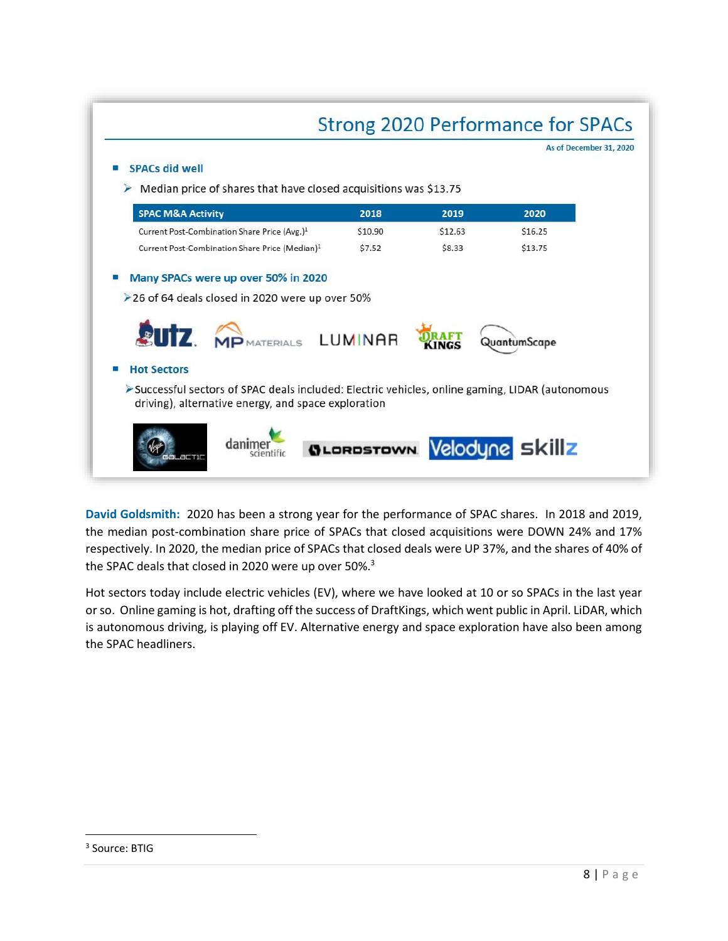| $\triangleright$ Median price of shares that have closed acquisitions was \$13.75<br><b>SPAC M&amp;A Activity</b>                                      | 2018    | 2019    | 2020         |
|--------------------------------------------------------------------------------------------------------------------------------------------------------|---------|---------|--------------|
| Current Post-Combination Share Price (Avg.) <sup>1</sup>                                                                                               | \$10.90 | \$12.63 | \$16.25      |
| Current Post-Combination Share Price (Median) <sup>1</sup>                                                                                             | \$7.52  | \$8.33  | \$13.75      |
| <b>SUIZ, MP</b> MATERIALS LUMINAR<br><b>Hot Sectors</b>                                                                                                |         |         | QuantumScape |
| >Successful sectors of SPAC deals included: Electric vehicles, online gaming, LIDAR (autonomous<br>driving), alternative energy, and space exploration |         |         |              |

**David Goldsmith:** 2020 has been a strong year for the performance of SPAC shares. In 2018 and 2019, the median post-combination share price of SPACs that closed acquisitions were DOWN 24% and 17% respectively. In 2020, the median price of SPACs that closed deals were UP 37%, and the shares of 40% of the SPAC deals that closed in 2020 were up over 50%.<sup>3</sup>

Hot sectors today include electric vehicles (EV), where we have looked at 10 or so SPACs in the last year or so. Online gaming is hot, drafting off the success of DraftKings, which went public in April. LiDAR, which is autonomous driving, is playing off EV. Alternative energy and space exploration have also been among the SPAC headliners.

<sup>&</sup>lt;sup>3</sup> Source: BTIG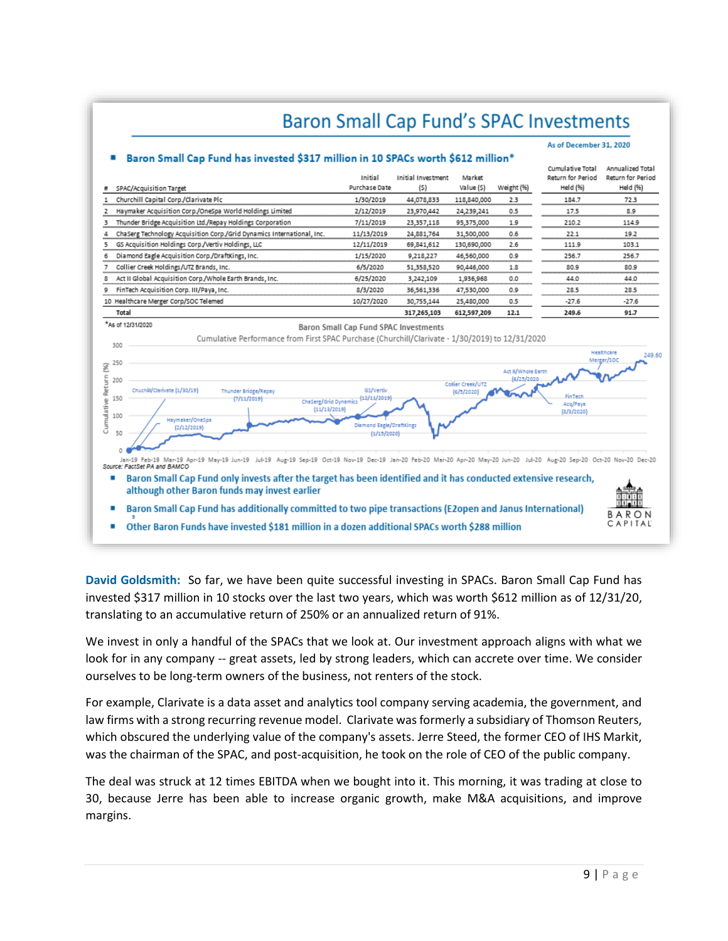## **Baron Small Cap Fund's SPAC Investments**

#### As of December 31, 2020



**David Goldsmith:** So far, we have been quite successful investing in SPACs. Baron Small Cap Fund has invested \$317 million in 10 stocks over the last two years, which was worth \$612 million as of 12/31/20, translating to an accumulative return of 250% or an annualized return of 91%.

We invest in only a handful of the SPACs that we look at. Our investment approach aligns with what we look for in any company -- great assets, led by strong leaders, which can accrete over time. We consider ourselves to be long-term owners of the business, not renters of the stock.

For example, Clarivate is a data asset and analytics tool company serving academia, the government, and law firms with a strong recurring revenue model. Clarivate was formerly a subsidiary of Thomson Reuters, which obscured the underlying value of the company's assets. Jerre Steed, the former CEO of IHS Markit, was the chairman of the SPAC, and post-acquisition, he took on the role of CEO of the public company.

The deal was struck at 12 times EBITDA when we bought into it. This morning, it was trading at close to 30, because Jerre has been able to increase organic growth, make M&A acquisitions, and improve margins.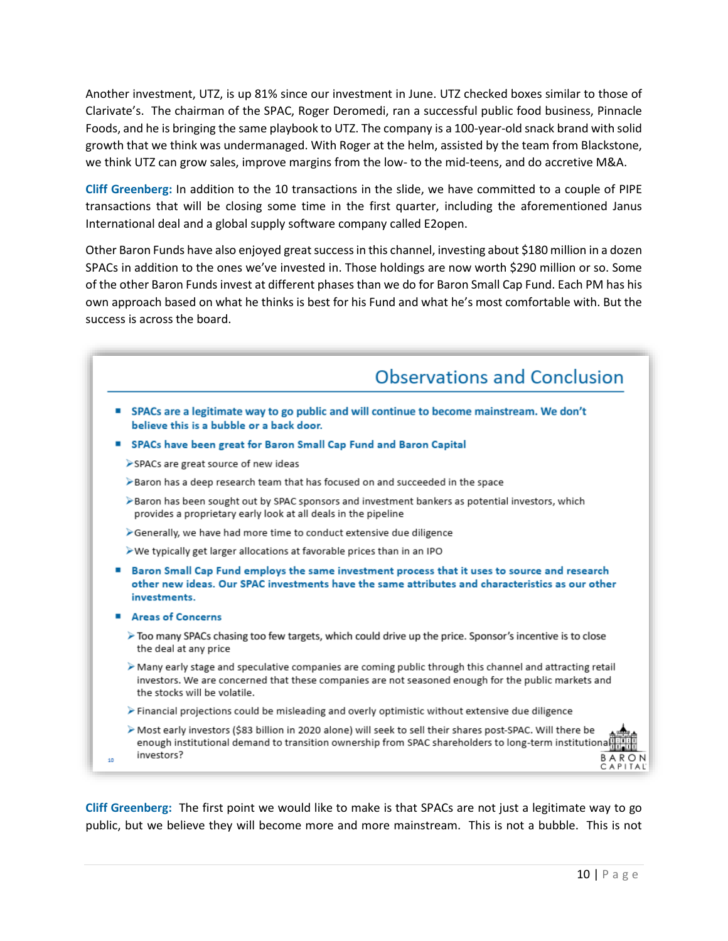Another investment, UTZ, is up 81% since our investment in June. UTZ checked boxes similar to those of Clarivate's. The chairman of the SPAC, Roger Deromedi, ran a successful public food business, Pinnacle Foods, and he is bringing the same playbook to UTZ. The company is a 100-year-old snack brand with solid growth that we think was undermanaged. With Roger at the helm, assisted by the team from Blackstone, we think UTZ can grow sales, improve margins from the low- to the mid-teens, and do accretive M&A.

**Cliff Greenberg:** In addition to the 10 transactions in the slide, we have committed to a couple of PIPE transactions that will be closing some time in the first quarter, including the aforementioned Janus International deal and a global supply software company called E2open.

Other Baron Funds have also enjoyed great success in this channel, investing about \$180 million in a dozen SPACs in addition to the ones we've invested in. Those holdings are now worth \$290 million or so. Some of the other Baron Funds invest at different phases than we do for Baron Small Cap Fund. Each PM has his own approach based on what he thinks is best for his Fund and what he's most comfortable with. But the success is across the board.



**Cliff Greenberg:** The first point we would like to make is that SPACs are not just a legitimate way to go public, but we believe they will become more and more mainstream. This is not a bubble. This is not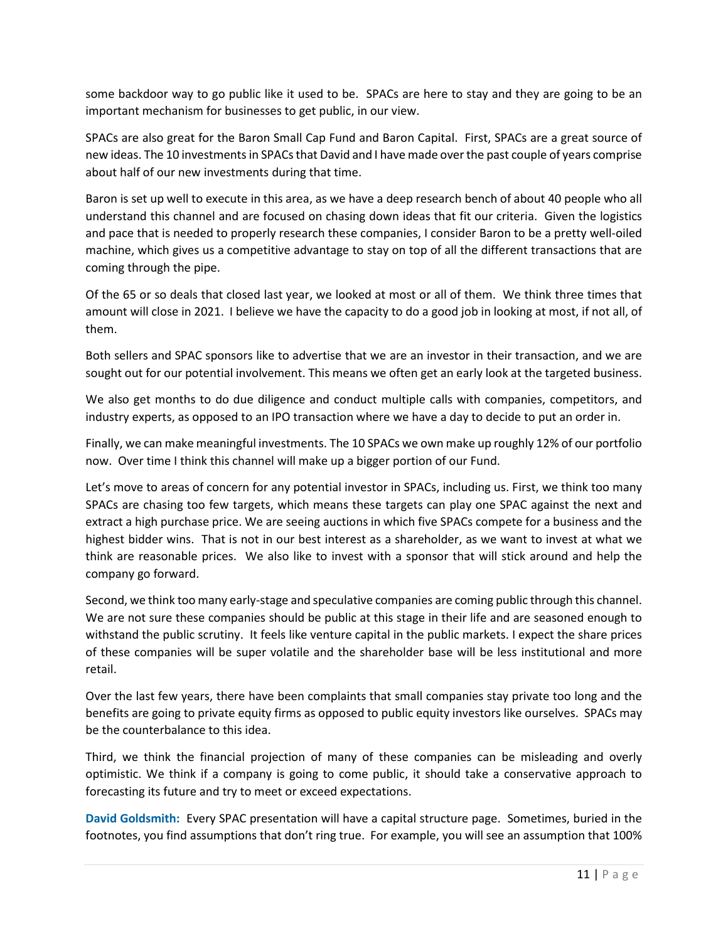some backdoor way to go public like it used to be. SPACs are here to stay and they are going to be an important mechanism for businesses to get public, in our view.

SPACs are also great for the Baron Small Cap Fund and Baron Capital. First, SPACs are a great source of new ideas. The 10 investmentsin SPACs that David and I have made over the past couple of years comprise about half of our new investments during that time.

Baron is set up well to execute in this area, as we have a deep research bench of about 40 people who all understand this channel and are focused on chasing down ideas that fit our criteria. Given the logistics and pace that is needed to properly research these companies, I consider Baron to be a pretty well-oiled machine, which gives us a competitive advantage to stay on top of all the different transactions that are coming through the pipe.

Of the 65 or so deals that closed last year, we looked at most or all of them. We think three times that amount will close in 2021. I believe we have the capacity to do a good job in looking at most, if not all, of them.

Both sellers and SPAC sponsors like to advertise that we are an investor in their transaction, and we are sought out for our potential involvement. This means we often get an early look at the targeted business.

We also get months to do due diligence and conduct multiple calls with companies, competitors, and industry experts, as opposed to an IPO transaction where we have a day to decide to put an order in.

Finally, we can make meaningful investments. The 10 SPACs we own make up roughly 12% of our portfolio now. Over time I think this channel will make up a bigger portion of our Fund.

Let's move to areas of concern for any potential investor in SPACs, including us. First, we think too many SPACs are chasing too few targets, which means these targets can play one SPAC against the next and extract a high purchase price. We are seeing auctions in which five SPACs compete for a business and the highest bidder wins. That is not in our best interest as a shareholder, as we want to invest at what we think are reasonable prices. We also like to invest with a sponsor that will stick around and help the company go forward.

Second, we think too many early-stage and speculative companies are coming public through this channel. We are not sure these companies should be public at this stage in their life and are seasoned enough to withstand the public scrutiny. It feels like venture capital in the public markets. I expect the share prices of these companies will be super volatile and the shareholder base will be less institutional and more retail.

Over the last few years, there have been complaints that small companies stay private too long and the benefits are going to private equity firms as opposed to public equity investors like ourselves. SPACs may be the counterbalance to this idea.

Third, we think the financial projection of many of these companies can be misleading and overly optimistic. We think if a company is going to come public, it should take a conservative approach to forecasting its future and try to meet or exceed expectations.

**David Goldsmith:** Every SPAC presentation will have a capital structure page. Sometimes, buried in the footnotes, you find assumptions that don't ring true. For example, you will see an assumption that 100%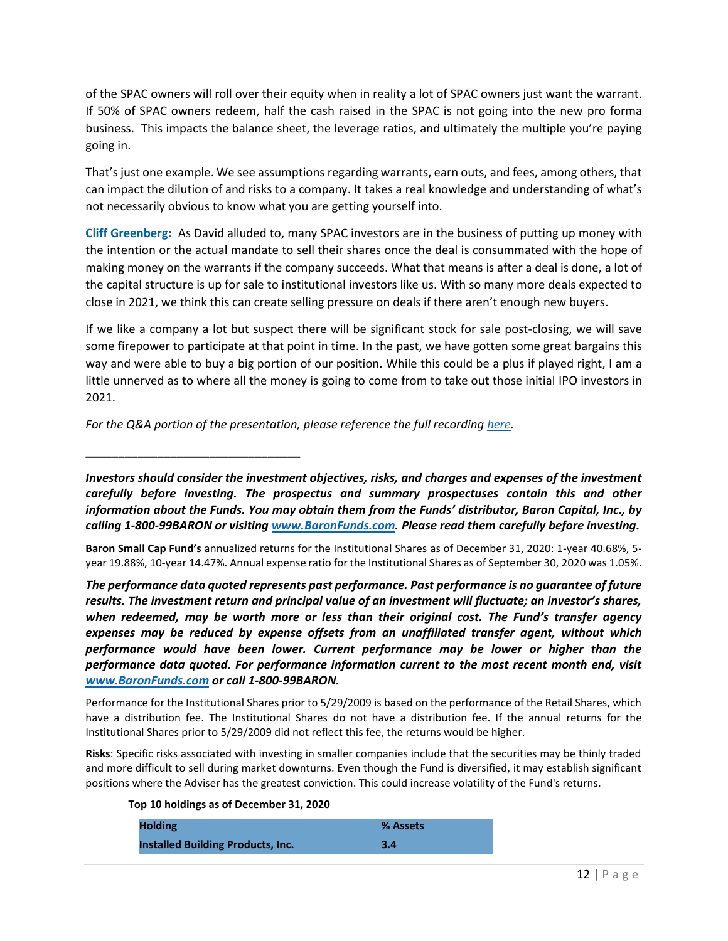of the SPAC owners will roll over their equity when in reality a lot of SPAC owners just want the warrant. If 50% of SPAC owners redeem, half the cash raised in the SPAC is not going into the new pro forma business. This impacts the balance sheet, the leverage ratios, and ultimately the multiple you're paying going in.

That's just one example. We see assumptions regarding warrants, earn outs, and fees, among others, that can impact the dilution of and risks to a company. It takes a real knowledge and understanding of what's not necessarily obvious to know what you are getting yourself into.

**Cliff Greenberg:** As David alluded to, many SPAC investors are in the business of putting up money with the intention or the actual mandate to sell their shares once the deal is consummated with the hope of making money on the warrants if the company succeeds. What that means is after a deal is done, a lot of the capital structure is up for sale to institutional investors like us. With so many more deals expected to close in 2021, we think this can create selling pressure on deals if there aren't enough new buyers.

If we like a company a lot but suspect there will be significant stock for sale post-closing, we will save some firepower to participate at that point in time. In the past, we have gotten some great bargains this way and were able to buy a big portion of our position. While this could be a plus if played right, I am a little unnerved as to where all the money is going to come from to take out those initial IPO investors in 2021.

For the Q&A portion of the presentation, please reference the full recordin[g here.](https://www.baronfunds.com/sites/default/files/SPAC.1.12.21.mp3)

**\_\_\_\_\_\_\_\_\_\_\_\_\_\_\_\_\_\_\_\_\_\_\_\_\_\_\_\_\_\_\_\_\_**

*Investors should consider the investment objectives, risks, and charges and expenses of the investment carefully before investing. The prospectus and summary prospectuses contain this and other information about the Funds. You may obtain them from the Funds' distributor, Baron Capital, Inc., by calling 1-800-99BARON or visiting [www.BaronFunds.com.](http://www.baronfunds.com/) Please read them carefully before investing.*

**Baron Small Cap Fund's** annualized returns for the Institutional Shares as of December 31, 2020: 1-year 40.68%, 5 year 19.88%, 10-year 14.47%. Annual expense ratio for the Institutional Shares as of September 30, 2020 was 1.05%.

*The performance data quoted represents past performance. Past performance is no guarantee of future results. The investment return and principal value of an investment will fluctuate; an investor's shares, when redeemed, may be worth more or less than their original cost. The Fund's transfer agency expenses may be reduced by expense offsets from an unaffiliated transfer agent, without which performance would have been lower. Current performance may be lower or higher than the performance data quoted. For performance information current to the most recent month end, visit [www.BaronFunds.com](http://www.baronfunds.com/) or call 1-800-99BARON.*

Performance for the Institutional Shares prior to 5/29/2009 is based on the performance of the Retail Shares, which have a distribution fee. The Institutional Shares do not have a distribution fee. If the annual returns for the Institutional Shares prior to 5/29/2009 did not reflect this fee, the returns would be higher.

**Risks**: Specific risks associated with investing in smaller companies include that the securities may be thinly traded and more difficult to sell during market downturns. Even though the Fund is diversified, it may establish significant positions where the Adviser has the greatest conviction. This could increase volatility of the Fund's returns.

**Top 10 holdings as of December 31, 2020**

| <b>Holding</b>                           | % Assets |
|------------------------------------------|----------|
| <b>Installed Building Products, Inc.</b> | 3.4      |